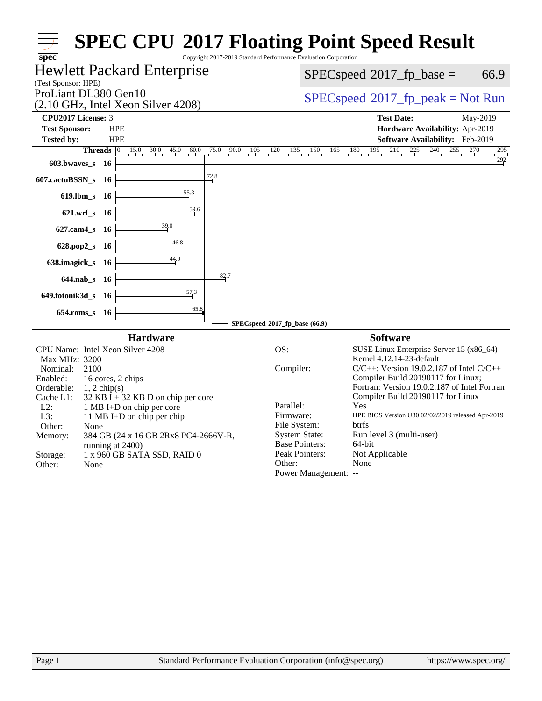| (Test Sponsor: HPE)                                                                                                          | <b>Hewlett Packard Enterprise</b>                                                                                                                                                                                                                                                             |                                                                                                                                                                 | 66.9<br>$SPEC speed^{\circ}2017\_fp\_base =$                                                                                                                                                                                                                                                                                                                                           |  |  |  |
|------------------------------------------------------------------------------------------------------------------------------|-----------------------------------------------------------------------------------------------------------------------------------------------------------------------------------------------------------------------------------------------------------------------------------------------|-----------------------------------------------------------------------------------------------------------------------------------------------------------------|----------------------------------------------------------------------------------------------------------------------------------------------------------------------------------------------------------------------------------------------------------------------------------------------------------------------------------------------------------------------------------------|--|--|--|
|                                                                                                                              | ProLiant DL380 Gen10<br>(2.10 GHz, Intel Xeon Silver 4208)                                                                                                                                                                                                                                    |                                                                                                                                                                 | $SPEC speed^{\circ}2017\_fp\_peak = Not Run$                                                                                                                                                                                                                                                                                                                                           |  |  |  |
| CPU2017 License: 3                                                                                                           |                                                                                                                                                                                                                                                                                               |                                                                                                                                                                 | <b>Test Date:</b><br>May-2019                                                                                                                                                                                                                                                                                                                                                          |  |  |  |
| <b>Test Sponsor:</b><br><b>Tested by:</b>                                                                                    | <b>HPE</b><br><b>HPE</b>                                                                                                                                                                                                                                                                      |                                                                                                                                                                 | Hardware Availability: Apr-2019                                                                                                                                                                                                                                                                                                                                                        |  |  |  |
|                                                                                                                              | <b>Threads</b> $\begin{bmatrix} 0 & 15.0 & 30.0 & 45.0 \end{bmatrix}$<br>60.0<br>$75.0$ 90.0 105                                                                                                                                                                                              | $\frac{120}{1}$                                                                                                                                                 | Software Availability: Feb-2019<br>$135$ $150$ $165$ $180$ $195$ $210$ $225$ $240$ $255$<br>$^{270}$<br>295                                                                                                                                                                                                                                                                            |  |  |  |
| $603.bwaves$ $16$                                                                                                            |                                                                                                                                                                                                                                                                                               |                                                                                                                                                                 | $\frac{292}{ }$                                                                                                                                                                                                                                                                                                                                                                        |  |  |  |
| 607.cactuBSSN_s 16                                                                                                           | 72.8                                                                                                                                                                                                                                                                                          |                                                                                                                                                                 |                                                                                                                                                                                                                                                                                                                                                                                        |  |  |  |
| $619$ .lbm_s                                                                                                                 | 55.3<br>- 16                                                                                                                                                                                                                                                                                  |                                                                                                                                                                 |                                                                                                                                                                                                                                                                                                                                                                                        |  |  |  |
| $621.wrf$ s                                                                                                                  | 59.6<br>- 16                                                                                                                                                                                                                                                                                  |                                                                                                                                                                 |                                                                                                                                                                                                                                                                                                                                                                                        |  |  |  |
| $627$ .cam $4_s$                                                                                                             | 39.0<br>- 16                                                                                                                                                                                                                                                                                  |                                                                                                                                                                 |                                                                                                                                                                                                                                                                                                                                                                                        |  |  |  |
| $628.pop2_s$                                                                                                                 | 46.8<br><b>16</b>                                                                                                                                                                                                                                                                             |                                                                                                                                                                 |                                                                                                                                                                                                                                                                                                                                                                                        |  |  |  |
| 638.imagick_s                                                                                                                | 44.9                                                                                                                                                                                                                                                                                          |                                                                                                                                                                 |                                                                                                                                                                                                                                                                                                                                                                                        |  |  |  |
|                                                                                                                              | - 16<br>82.7                                                                                                                                                                                                                                                                                  |                                                                                                                                                                 |                                                                                                                                                                                                                                                                                                                                                                                        |  |  |  |
| $644.nab_s$                                                                                                                  | - 16<br>57.3                                                                                                                                                                                                                                                                                  |                                                                                                                                                                 |                                                                                                                                                                                                                                                                                                                                                                                        |  |  |  |
| 649.fotonik3d_s 16                                                                                                           | 65.8                                                                                                                                                                                                                                                                                          |                                                                                                                                                                 |                                                                                                                                                                                                                                                                                                                                                                                        |  |  |  |
| $654$ .roms_s                                                                                                                | - 16                                                                                                                                                                                                                                                                                          | SPECspeed®2017_fp_base (66.9)                                                                                                                                   |                                                                                                                                                                                                                                                                                                                                                                                        |  |  |  |
|                                                                                                                              | <b>Hardware</b>                                                                                                                                                                                                                                                                               |                                                                                                                                                                 | <b>Software</b>                                                                                                                                                                                                                                                                                                                                                                        |  |  |  |
| Max MHz: 3200<br>Nominal:<br>Enabled:<br>Orderable:<br>Cache L1:<br>$L2$ :<br>L3:<br>Other:<br>Memory:<br>Storage:<br>Other: | CPU Name: Intel Xeon Silver 4208<br>2100<br>16 cores, 2 chips<br>$1, 2$ chip(s)<br>$32$ KB I + 32 KB D on chip per core<br>1 MB I+D on chip per core<br>11 MB I+D on chip per chip<br>None<br>384 GB (24 x 16 GB 2Rx8 PC4-2666V-R,<br>running at 2400)<br>1 x 960 GB SATA SSD, RAID 0<br>None | OS:<br>Compiler:<br>Parallel:<br>Firmware:<br>File System:<br><b>System State:</b><br><b>Base Pointers:</b><br>Peak Pointers:<br>Other:<br>Power Management: -- | SUSE Linux Enterprise Server 15 (x86_64)<br>Kernel 4.12.14-23-default<br>$C/C++$ : Version 19.0.2.187 of Intel $C/C++$<br>Compiler Build 20190117 for Linux;<br>Fortran: Version 19.0.2.187 of Intel Fortran<br>Compiler Build 20190117 for Linux<br>Yes<br>HPE BIOS Version U30 02/02/2019 released Apr-2019<br>btrfs<br>Run level 3 (multi-user)<br>64-bit<br>Not Applicable<br>None |  |  |  |
|                                                                                                                              |                                                                                                                                                                                                                                                                                               |                                                                                                                                                                 |                                                                                                                                                                                                                                                                                                                                                                                        |  |  |  |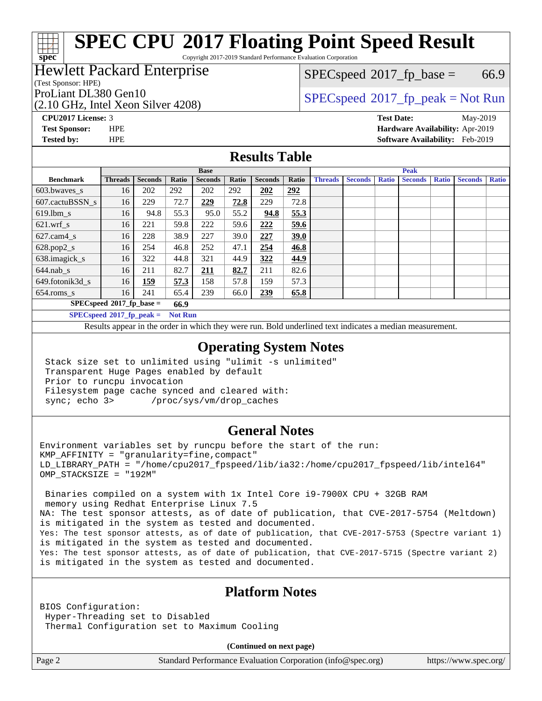Copyright 2017-2019 Standard Performance Evaluation Corporation

### Hewlett Packard Enterprise

(Test Sponsor: HPE)

**[spec](http://www.spec.org/)**

(2.10 GHz, Intel Xeon Silver 4208)

 $SPECspeed^{\circ}2017_fp\_base = 66.9$  $SPECspeed^{\circ}2017_fp\_base = 66.9$ 

## ProLiant DL380 Gen10<br>  $SPECspeed^{\circ}2017\_fp\_peak = Not Run$  $SPECspeed^{\circ}2017\_fp\_peak = Not Run$

**[CPU2017 License:](http://www.spec.org/auto/cpu2017/Docs/result-fields.html#CPU2017License)** 3 **[Test Date:](http://www.spec.org/auto/cpu2017/Docs/result-fields.html#TestDate)** May-2019 **[Test Sponsor:](http://www.spec.org/auto/cpu2017/Docs/result-fields.html#TestSponsor)** HPE **[Hardware Availability:](http://www.spec.org/auto/cpu2017/Docs/result-fields.html#HardwareAvailability)** Apr-2019 **[Tested by:](http://www.spec.org/auto/cpu2017/Docs/result-fields.html#Testedby)** HPE **[Software Availability:](http://www.spec.org/auto/cpu2017/Docs/result-fields.html#SoftwareAvailability)** Feb-2019

#### **[Results Table](http://www.spec.org/auto/cpu2017/Docs/result-fields.html#ResultsTable)**

|                                               | <b>Base</b>    |                |       |                |       | <b>Peak</b>    |       |                |                |              |                |              |                |              |
|-----------------------------------------------|----------------|----------------|-------|----------------|-------|----------------|-------|----------------|----------------|--------------|----------------|--------------|----------------|--------------|
| <b>Benchmark</b>                              | <b>Threads</b> | <b>Seconds</b> | Ratio | <b>Seconds</b> | Ratio | <b>Seconds</b> | Ratio | <b>Threads</b> | <b>Seconds</b> | <b>Ratio</b> | <b>Seconds</b> | <b>Ratio</b> | <b>Seconds</b> | <b>Ratio</b> |
| 603.bwayes s                                  | 16             | 202            | 292   | 202            | 292   | 202            | 292   |                |                |              |                |              |                |              |
| 607.cactuBSSN s                               | 16             | 229            | 72.7  | 229            | 72.8  | 229            | 72.8  |                |                |              |                |              |                |              |
| $619.$ lbm_s                                  | 16             | 94.8           | 55.3  | 95.0           | 55.2  | 94.8           | 55.3  |                |                |              |                |              |                |              |
| $621.wrf$ s                                   | 16             | 221            | 59.8  | 222            | 59.6  | 222            | 59.6  |                |                |              |                |              |                |              |
| $627$ .cam $4 \text{ s}$                      | 16             | 228            | 38.9  | 227            | 39.0  | 227            | 39.0  |                |                |              |                |              |                |              |
| $628.pop2_s$                                  | 16             | 254            | 46.8  | 252            | 47.1  | 254            | 46.8  |                |                |              |                |              |                |              |
| 638.imagick_s                                 | 16             | 322            | 44.8  | 321            | 44.9  | 322            | 44.9  |                |                |              |                |              |                |              |
| $644$ .nab s                                  | 16             | 211            | 82.7  | <u>211</u>     | 82.7  | 211            | 82.6  |                |                |              |                |              |                |              |
| 649.fotonik3d s                               | 16             | <u> 159</u>    | 57.3  | 158            | 57.8  | 159            | 57.3  |                |                |              |                |              |                |              |
| $654$ .roms s                                 | 16             | 241            | 65.4  | 239            | 66.0  | 239            | 65.8  |                |                |              |                |              |                |              |
| $SPECspeed*2017_fp\_base =$<br>66.9           |                |                |       |                |       |                |       |                |                |              |                |              |                |              |
| $SPECspeed*2017_fp\_peak =$<br><b>Not Run</b> |                |                |       |                |       |                |       |                |                |              |                |              |                |              |

Results appear in the [order in which they were run.](http://www.spec.org/auto/cpu2017/Docs/result-fields.html#RunOrder) Bold underlined text [indicates a median measurement](http://www.spec.org/auto/cpu2017/Docs/result-fields.html#Median).

#### **[Operating System Notes](http://www.spec.org/auto/cpu2017/Docs/result-fields.html#OperatingSystemNotes)**

 Stack size set to unlimited using "ulimit -s unlimited" Transparent Huge Pages enabled by default Prior to runcpu invocation Filesystem page cache synced and cleared with: sync; echo 3> /proc/sys/vm/drop\_caches

#### **[General Notes](http://www.spec.org/auto/cpu2017/Docs/result-fields.html#GeneralNotes)**

Environment variables set by runcpu before the start of the run:  $KMP$  AFFINITY = "granularity=fine, compact" LD\_LIBRARY\_PATH = "/home/cpu2017\_fpspeed/lib/ia32:/home/cpu2017\_fpspeed/lib/intel64" OMP\_STACKSIZE = "192M"

 Binaries compiled on a system with 1x Intel Core i9-7900X CPU + 32GB RAM memory using Redhat Enterprise Linux 7.5 NA: The test sponsor attests, as of date of publication, that CVE-2017-5754 (Meltdown) is mitigated in the system as tested and documented. Yes: The test sponsor attests, as of date of publication, that CVE-2017-5753 (Spectre variant 1) is mitigated in the system as tested and documented. Yes: The test sponsor attests, as of date of publication, that CVE-2017-5715 (Spectre variant 2) is mitigated in the system as tested and documented.

#### **[Platform Notes](http://www.spec.org/auto/cpu2017/Docs/result-fields.html#PlatformNotes)**

BIOS Configuration: Hyper-Threading set to Disabled Thermal Configuration set to Maximum Cooling

**(Continued on next page)**

Page 2 Standard Performance Evaluation Corporation [\(info@spec.org\)](mailto:info@spec.org) <https://www.spec.org/>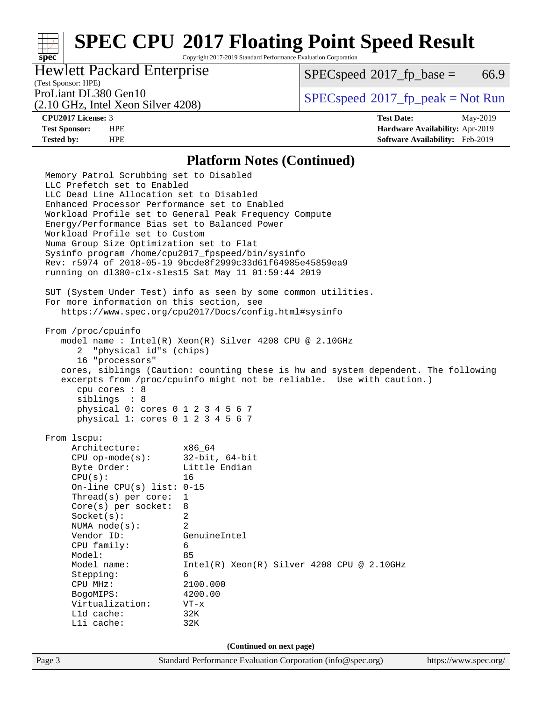Copyright 2017-2019 Standard Performance Evaluation Corporation

### Hewlett Packard Enterprise

 $SPECspeed^{\circ}2017\_fp\_base = 66.9$  $SPECspeed^{\circ}2017\_fp\_base = 66.9$ 

## (Test Sponsor: HPE)

(2.10 GHz, Intel Xeon Silver 4208)

ProLiant DL380 Gen10<br>  $SPECspeed^{\circ}2017\_fp\_peak = Not Run$  $SPECspeed^{\circ}2017\_fp\_peak = Not Run$ 

**[spec](http://www.spec.org/)**

**[CPU2017 License:](http://www.spec.org/auto/cpu2017/Docs/result-fields.html#CPU2017License)** 3 **[Test Date:](http://www.spec.org/auto/cpu2017/Docs/result-fields.html#TestDate)** May-2019 **[Test Sponsor:](http://www.spec.org/auto/cpu2017/Docs/result-fields.html#TestSponsor)** HPE **[Hardware Availability:](http://www.spec.org/auto/cpu2017/Docs/result-fields.html#HardwareAvailability)** Apr-2019 **[Tested by:](http://www.spec.org/auto/cpu2017/Docs/result-fields.html#Testedby)** HPE **[Software Availability:](http://www.spec.org/auto/cpu2017/Docs/result-fields.html#SoftwareAvailability)** Feb-2019

#### **[Platform Notes \(Continued\)](http://www.spec.org/auto/cpu2017/Docs/result-fields.html#PlatformNotes)**

Page 3 Standard Performance Evaluation Corporation [\(info@spec.org\)](mailto:info@spec.org) <https://www.spec.org/> Memory Patrol Scrubbing set to Disabled LLC Prefetch set to Enabled LLC Dead Line Allocation set to Disabled Enhanced Processor Performance set to Enabled Workload Profile set to General Peak Frequency Compute Energy/Performance Bias set to Balanced Power Workload Profile set to Custom Numa Group Size Optimization set to Flat Sysinfo program /home/cpu2017\_fpspeed/bin/sysinfo Rev: r5974 of 2018-05-19 9bcde8f2999c33d61f64985e45859ea9 running on dl380-clx-sles15 Sat May 11 01:59:44 2019 SUT (System Under Test) info as seen by some common utilities. For more information on this section, see <https://www.spec.org/cpu2017/Docs/config.html#sysinfo> From /proc/cpuinfo model name : Intel(R) Xeon(R) Silver 4208 CPU @ 2.10GHz 2 "physical id"s (chips) 16 "processors" cores, siblings (Caution: counting these is hw and system dependent. The following excerpts from /proc/cpuinfo might not be reliable. Use with caution.) cpu cores : 8 siblings : 8 physical 0: cores 0 1 2 3 4 5 6 7 physical 1: cores 0 1 2 3 4 5 6 7 From lscpu: Architecture: x86\_64 CPU op-mode(s): 32-bit, 64-bit Byte Order: Little Endian CPU(s): 16 On-line CPU(s) list: 0-15 Thread(s) per core: 1 Core(s) per socket: 8 Socket(s): 2 NUMA node(s): 2 Vendor ID: GenuineIntel CPU family: 6 Model: 85 Model name: Intel(R) Xeon(R) Silver 4208 CPU @ 2.10GHz Stepping: 6 CPU MHz: 2100.000 BogoMIPS: 4200.00 Virtualization: VT-x L1d cache: 32K L1i cache: 32K **(Continued on next page)**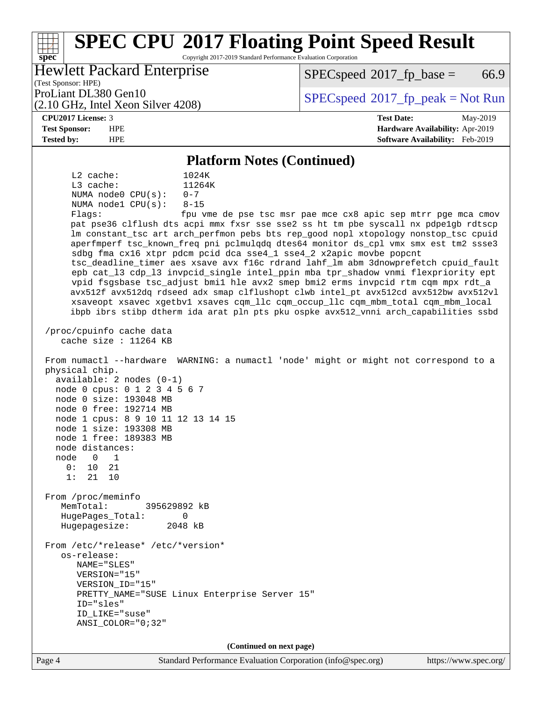#### **[spec](http://www.spec.org/) [SPEC CPU](http://www.spec.org/auto/cpu2017/Docs/result-fields.html#SPECCPU2017FloatingPointSpeedResult)[2017 Floating Point Speed Result](http://www.spec.org/auto/cpu2017/Docs/result-fields.html#SPECCPU2017FloatingPointSpeedResult)** Copyright 2017-2019 Standard Performance Evaluation Corporation (Test Sponsor: HPE) Hewlett Packard Enterprise (2.10 GHz, Intel Xeon Silver 4208) ProLiant DL380 Gen10<br>  $SPECspeed^{\circ}2017\_fp\_peak = Not Run$  $SPECspeed^{\circ}2017\_fp\_peak = Not Run$  $SPECspeed^{\circ}2017\_fp\_base = 66.9$  $SPECspeed^{\circ}2017\_fp\_base = 66.9$ **[CPU2017 License:](http://www.spec.org/auto/cpu2017/Docs/result-fields.html#CPU2017License)** 3 **[Test Date:](http://www.spec.org/auto/cpu2017/Docs/result-fields.html#TestDate)** May-2019 **[Test Sponsor:](http://www.spec.org/auto/cpu2017/Docs/result-fields.html#TestSponsor)** HPE **[Hardware Availability:](http://www.spec.org/auto/cpu2017/Docs/result-fields.html#HardwareAvailability)** Apr-2019 **[Tested by:](http://www.spec.org/auto/cpu2017/Docs/result-fields.html#Testedby)** HPE **[Software Availability:](http://www.spec.org/auto/cpu2017/Docs/result-fields.html#SoftwareAvailability)** Feb-2019 **[Platform Notes \(Continued\)](http://www.spec.org/auto/cpu2017/Docs/result-fields.html#PlatformNotes)** L2 cache: 1024K L3 cache:  $11264K$ <br>NUMA node0 CPU(s):  $0-7$ NUMA  $node0$   $CPU(s):$  NUMA node1 CPU(s): 8-15 Flags: fpu vme de pse tsc msr pae mce cx8 apic sep mtrr pge mca cmov pat pse36 clflush dts acpi mmx fxsr sse sse2 ss ht tm pbe syscall nx pdpe1gb rdtscp lm constant\_tsc art arch\_perfmon pebs bts rep\_good nopl xtopology nonstop\_tsc cpuid aperfmperf tsc\_known\_freq pni pclmulqdq dtes64 monitor ds\_cpl vmx smx est tm2 ssse3 sdbg fma cx16 xtpr pdcm pcid dca sse4\_1 sse4\_2 x2apic movbe popcnt tsc\_deadline\_timer aes xsave avx f16c rdrand lahf\_lm abm 3dnowprefetch cpuid\_fault epb cat\_l3 cdp\_l3 invpcid\_single intel\_ppin mba tpr\_shadow vnmi flexpriority ept vpid fsgsbase tsc\_adjust bmi1 hle avx2 smep bmi2 erms invpcid rtm cqm mpx rdt\_a avx512f avx512dq rdseed adx smap clflushopt clwb intel\_pt avx512cd avx512bw avx512vl xsaveopt xsavec xgetbv1 xsaves cqm\_llc cqm\_occup\_llc cqm\_mbm\_total cqm\_mbm\_local ibpb ibrs stibp dtherm ida arat pln pts pku ospke avx512\_vnni arch\_capabilities ssbd /proc/cpuinfo cache data cache size : 11264 KB From numactl --hardware WARNING: a numactl 'node' might or might not correspond to a physical chip. available: 2 nodes (0-1) node 0 cpus: 0 1 2 3 4 5 6 7 node 0 size: 193048 MB node 0 free: 192714 MB node 1 cpus: 8 9 10 11 12 13 14 15 node 1 size: 193308 MB node 1 free: 189383 MB node distances: node 0 1 0: 10 21 1: 21 10 From /proc/meminfo MemTotal: 395629892 kB HugePages\_Total: 0 Hugepagesize: 2048 kB From /etc/\*release\* /etc/\*version\* os-release: NAME="SLES" VERSION="15" VERSION\_ID="15" PRETTY\_NAME="SUSE Linux Enterprise Server 15" ID="sles" ID\_LIKE="suse" ANSI\_COLOR="0;32" **(Continued on next page)**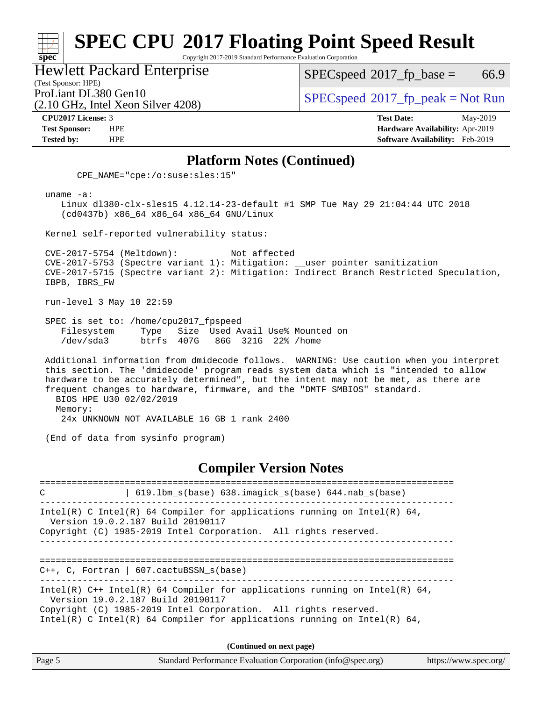Copyright 2017-2019 Standard Performance Evaluation Corporation

Hewlett Packard Enterprise

(2.10 GHz, Intel Xeon Silver 4208)

 $SPECspeed^{\circ}2017_fp\_base = 66.9$  $SPECspeed^{\circ}2017_fp\_base = 66.9$ 

(Test Sponsor: HPE)

ProLiant DL380 Gen10<br>  $SPECspeed^{\circ}2017\_fp\_peak = Not Run$  $SPECspeed^{\circ}2017\_fp\_peak = Not Run$ 

**[spec](http://www.spec.org/)**

**[CPU2017 License:](http://www.spec.org/auto/cpu2017/Docs/result-fields.html#CPU2017License)** 3 **[Test Date:](http://www.spec.org/auto/cpu2017/Docs/result-fields.html#TestDate)** May-2019 **[Test Sponsor:](http://www.spec.org/auto/cpu2017/Docs/result-fields.html#TestSponsor)** HPE **[Hardware Availability:](http://www.spec.org/auto/cpu2017/Docs/result-fields.html#HardwareAvailability)** Apr-2019 **[Tested by:](http://www.spec.org/auto/cpu2017/Docs/result-fields.html#Testedby)** HPE **[Software Availability:](http://www.spec.org/auto/cpu2017/Docs/result-fields.html#SoftwareAvailability)** Feb-2019

#### **[Platform Notes \(Continued\)](http://www.spec.org/auto/cpu2017/Docs/result-fields.html#PlatformNotes)**

CPE\_NAME="cpe:/o:suse:sles:15"

uname -a:

 Linux dl380-clx-sles15 4.12.14-23-default #1 SMP Tue May 29 21:04:44 UTC 2018 (cd0437b) x86\_64 x86\_64 x86\_64 GNU/Linux

Kernel self-reported vulnerability status:

 CVE-2017-5754 (Meltdown): Not affected CVE-2017-5753 (Spectre variant 1): Mitigation: \_\_user pointer sanitization CVE-2017-5715 (Spectre variant 2): Mitigation: Indirect Branch Restricted Speculation, IBPB, IBRS\_FW

run-level 3 May 10 22:59

 SPEC is set to: /home/cpu2017\_fpspeed Filesystem Type Size Used Avail Use% Mounted on /dev/sda3 btrfs 407G 86G 321G 22% /home

 Additional information from dmidecode follows. WARNING: Use caution when you interpret this section. The 'dmidecode' program reads system data which is "intended to allow hardware to be accurately determined", but the intent may not be met, as there are frequent changes to hardware, firmware, and the "DMTF SMBIOS" standard. BIOS HPE U30 02/02/2019 Memory:

24x UNKNOWN NOT AVAILABLE 16 GB 1 rank 2400

(End of data from sysinfo program)

#### **[Compiler Version Notes](http://www.spec.org/auto/cpu2017/Docs/result-fields.html#CompilerVersionNotes)**

============================================================================== C | 619.lbm\_s(base) 638.imagick\_s(base) 644.nab\_s(base) ------------------------------------------------------------------------------ Intel(R) C Intel(R) 64 Compiler for applications running on Intel(R)  $64$ , Version 19.0.2.187 Build 20190117 Copyright (C) 1985-2019 Intel Corporation. All rights reserved. ------------------------------------------------------------------------------ ============================================================================== C++, C, Fortran | 607.cactuBSSN\_s(base) ------------------------------------------------------------------------------ Intel(R)  $C++$  Intel(R) 64 Compiler for applications running on Intel(R) 64, Version 19.0.2.187 Build 20190117 Copyright (C) 1985-2019 Intel Corporation. All rights reserved. Intel(R) C Intel(R) 64 Compiler for applications running on Intel(R)  $64$ ,

**(Continued on next page)**

| Page 5 | Standard Performance Evaluation Corporation (info@spec.org) | https://www.spec.org/ |
|--------|-------------------------------------------------------------|-----------------------|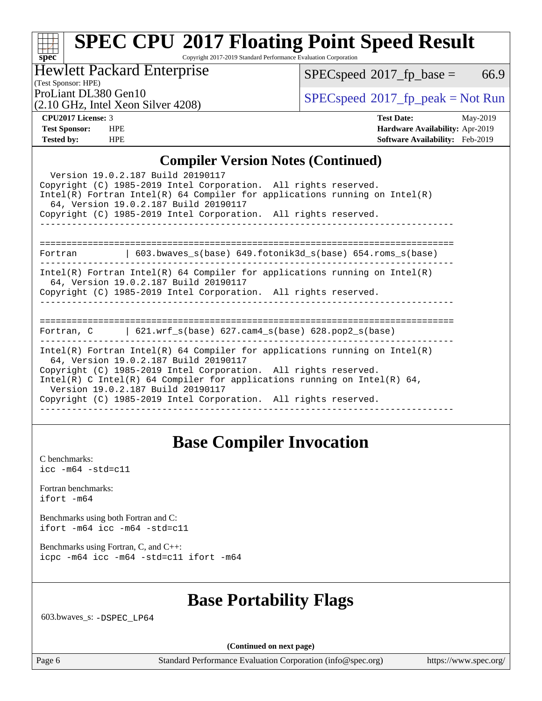Copyright 2017-2019 Standard Performance Evaluation Corporation

### Hewlett Packard Enterprise

(2.10 GHz, Intel Xeon Silver 4208)

 $SPECspeed^{\circ}2017_fp\_base = 66.9$  $SPECspeed^{\circ}2017_fp\_base = 66.9$ 

(Test Sponsor: HPE)

ProLiant DL380 Gen10<br>  $SPECspeed^{\circ}2017\_fp\_peak = Not Run$  $SPECspeed^{\circ}2017\_fp\_peak = Not Run$ 

**[spec](http://www.spec.org/)**

**[CPU2017 License:](http://www.spec.org/auto/cpu2017/Docs/result-fields.html#CPU2017License)** 3 **[Test Date:](http://www.spec.org/auto/cpu2017/Docs/result-fields.html#TestDate)** May-2019 **[Test Sponsor:](http://www.spec.org/auto/cpu2017/Docs/result-fields.html#TestSponsor)** HPE **[Hardware Availability:](http://www.spec.org/auto/cpu2017/Docs/result-fields.html#HardwareAvailability)** Apr-2019 **[Tested by:](http://www.spec.org/auto/cpu2017/Docs/result-fields.html#Testedby)** HPE **[Software Availability:](http://www.spec.org/auto/cpu2017/Docs/result-fields.html#SoftwareAvailability)** Feb-2019

#### **[Compiler Version Notes \(Continued\)](http://www.spec.org/auto/cpu2017/Docs/result-fields.html#CompilerVersionNotes)**

| Complict version twics (Commuca)                                                                                                                                                                                                                                                                                                                                             |
|------------------------------------------------------------------------------------------------------------------------------------------------------------------------------------------------------------------------------------------------------------------------------------------------------------------------------------------------------------------------------|
| Version 19.0.2.187 Build 20190117<br>Copyright (C) 1985-2019 Intel Corporation. All rights reserved.<br>$Intel(R)$ Fortran Intel(R) 64 Compiler for applications running on Intel(R)<br>64, Version 19.0.2.187 Build 20190117                                                                                                                                                |
| Copyright (C) 1985-2019 Intel Corporation. All rights reserved.                                                                                                                                                                                                                                                                                                              |
| Fortran   603.bwaves_s(base) 649.fotonik3d_s(base) 654.roms_s(base)                                                                                                                                                                                                                                                                                                          |
| $Intel(R)$ Fortran Intel(R) 64 Compiler for applications running on Intel(R)<br>64, Version 19.0.2.187 Build 20190117<br>Copyright (C) 1985-2019 Intel Corporation. All rights reserved.                                                                                                                                                                                     |
| Fortran, C $\vert$ 621.wrf s(base) 627.cam4 s(base) 628.pop2 s(base)                                                                                                                                                                                                                                                                                                         |
| $Intel(R)$ Fortran Intel(R) 64 Compiler for applications running on Intel(R)<br>64, Version 19.0.2.187 Build 20190117<br>Copyright (C) 1985-2019 Intel Corporation. All rights reserved.<br>Intel(R) C Intel(R) 64 Compiler for applications running on Intel(R) 64,<br>Version 19.0.2.187 Build 20190117<br>Copyright (C) 1985-2019 Intel Corporation. All rights reserved. |

## **[Base Compiler Invocation](http://www.spec.org/auto/cpu2017/Docs/result-fields.html#BaseCompilerInvocation)**

[C benchmarks](http://www.spec.org/auto/cpu2017/Docs/result-fields.html#Cbenchmarks): [icc -m64 -std=c11](http://www.spec.org/cpu2017/results/res2019q4/cpu2017-20190819-17047.flags.html#user_CCbase_intel_icc_64bit_c11_33ee0cdaae7deeeab2a9725423ba97205ce30f63b9926c2519791662299b76a0318f32ddfffdc46587804de3178b4f9328c46fa7c2b0cd779d7a61945c91cd35)

[Fortran benchmarks](http://www.spec.org/auto/cpu2017/Docs/result-fields.html#Fortranbenchmarks): [ifort -m64](http://www.spec.org/cpu2017/results/res2019q4/cpu2017-20190819-17047.flags.html#user_FCbase_intel_ifort_64bit_24f2bb282fbaeffd6157abe4f878425411749daecae9a33200eee2bee2fe76f3b89351d69a8130dd5949958ce389cf37ff59a95e7a40d588e8d3a57e0c3fd751)

[Benchmarks using both Fortran and C](http://www.spec.org/auto/cpu2017/Docs/result-fields.html#BenchmarksusingbothFortranandC): [ifort -m64](http://www.spec.org/cpu2017/results/res2019q4/cpu2017-20190819-17047.flags.html#user_CC_FCbase_intel_ifort_64bit_24f2bb282fbaeffd6157abe4f878425411749daecae9a33200eee2bee2fe76f3b89351d69a8130dd5949958ce389cf37ff59a95e7a40d588e8d3a57e0c3fd751) [icc -m64 -std=c11](http://www.spec.org/cpu2017/results/res2019q4/cpu2017-20190819-17047.flags.html#user_CC_FCbase_intel_icc_64bit_c11_33ee0cdaae7deeeab2a9725423ba97205ce30f63b9926c2519791662299b76a0318f32ddfffdc46587804de3178b4f9328c46fa7c2b0cd779d7a61945c91cd35)

[Benchmarks using Fortran, C, and C++:](http://www.spec.org/auto/cpu2017/Docs/result-fields.html#BenchmarksusingFortranCandCXX) [icpc -m64](http://www.spec.org/cpu2017/results/res2019q4/cpu2017-20190819-17047.flags.html#user_CC_CXX_FCbase_intel_icpc_64bit_4ecb2543ae3f1412ef961e0650ca070fec7b7afdcd6ed48761b84423119d1bf6bdf5cad15b44d48e7256388bc77273b966e5eb805aefd121eb22e9299b2ec9d9) [icc -m64 -std=c11](http://www.spec.org/cpu2017/results/res2019q4/cpu2017-20190819-17047.flags.html#user_CC_CXX_FCbase_intel_icc_64bit_c11_33ee0cdaae7deeeab2a9725423ba97205ce30f63b9926c2519791662299b76a0318f32ddfffdc46587804de3178b4f9328c46fa7c2b0cd779d7a61945c91cd35) [ifort -m64](http://www.spec.org/cpu2017/results/res2019q4/cpu2017-20190819-17047.flags.html#user_CC_CXX_FCbase_intel_ifort_64bit_24f2bb282fbaeffd6157abe4f878425411749daecae9a33200eee2bee2fe76f3b89351d69a8130dd5949958ce389cf37ff59a95e7a40d588e8d3a57e0c3fd751)

## **[Base Portability Flags](http://www.spec.org/auto/cpu2017/Docs/result-fields.html#BasePortabilityFlags)**

603.bwaves\_s: [-DSPEC\\_LP64](http://www.spec.org/cpu2017/results/res2019q4/cpu2017-20190819-17047.flags.html#suite_basePORTABILITY603_bwaves_s_DSPEC_LP64)

**(Continued on next page)**

Page 6 Standard Performance Evaluation Corporation [\(info@spec.org\)](mailto:info@spec.org) <https://www.spec.org/>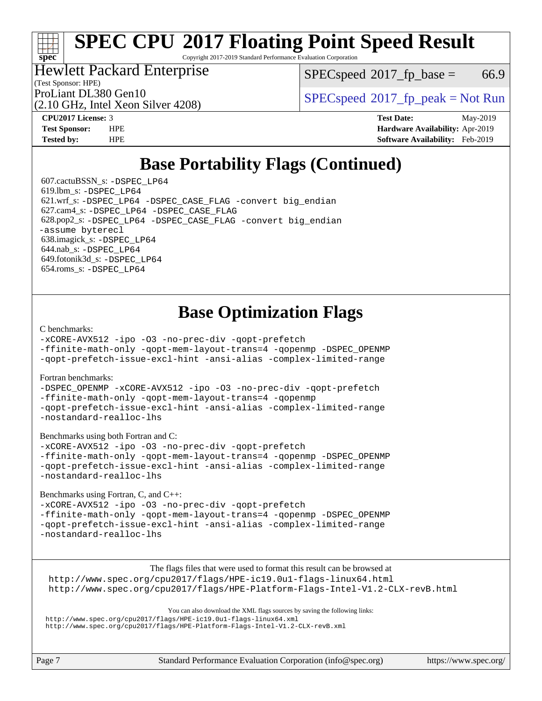Copyright 2017-2019 Standard Performance Evaluation Corporation

### Hewlett Packard Enterprise

(2.10 GHz, Intel Xeon Silver 4208)

 $SPEC speed^{\circ}2017\_fp\_base = 66.9$ 

(Test Sponsor: HPE)

ProLiant DL380 Gen10<br>  $SPECspeed^{\circ}2017<sub>fp</sub> peak = Not Run$  $SPECspeed^{\circ}2017<sub>fp</sub> peak = Not Run$ 

**[spec](http://www.spec.org/)**

**[CPU2017 License:](http://www.spec.org/auto/cpu2017/Docs/result-fields.html#CPU2017License)** 3 **[Test Date:](http://www.spec.org/auto/cpu2017/Docs/result-fields.html#TestDate)** May-2019 **[Test Sponsor:](http://www.spec.org/auto/cpu2017/Docs/result-fields.html#TestSponsor)** HPE **[Hardware Availability:](http://www.spec.org/auto/cpu2017/Docs/result-fields.html#HardwareAvailability)** Apr-2019 **[Tested by:](http://www.spec.org/auto/cpu2017/Docs/result-fields.html#Testedby)** HPE **[Software Availability:](http://www.spec.org/auto/cpu2017/Docs/result-fields.html#SoftwareAvailability)** Feb-2019

# **[Base Portability Flags \(Continued\)](http://www.spec.org/auto/cpu2017/Docs/result-fields.html#BasePortabilityFlags)**

 607.cactuBSSN\_s: [-DSPEC\\_LP64](http://www.spec.org/cpu2017/results/res2019q4/cpu2017-20190819-17047.flags.html#suite_basePORTABILITY607_cactuBSSN_s_DSPEC_LP64) 619.lbm\_s: [-DSPEC\\_LP64](http://www.spec.org/cpu2017/results/res2019q4/cpu2017-20190819-17047.flags.html#suite_basePORTABILITY619_lbm_s_DSPEC_LP64) 621.wrf\_s: [-DSPEC\\_LP64](http://www.spec.org/cpu2017/results/res2019q4/cpu2017-20190819-17047.flags.html#suite_basePORTABILITY621_wrf_s_DSPEC_LP64) [-DSPEC\\_CASE\\_FLAG](http://www.spec.org/cpu2017/results/res2019q4/cpu2017-20190819-17047.flags.html#b621.wrf_s_baseCPORTABILITY_DSPEC_CASE_FLAG) [-convert big\\_endian](http://www.spec.org/cpu2017/results/res2019q4/cpu2017-20190819-17047.flags.html#user_baseFPORTABILITY621_wrf_s_convert_big_endian_c3194028bc08c63ac5d04de18c48ce6d347e4e562e8892b8bdbdc0214820426deb8554edfa529a3fb25a586e65a3d812c835984020483e7e73212c4d31a38223) 627.cam4\_s: [-DSPEC\\_LP64](http://www.spec.org/cpu2017/results/res2019q4/cpu2017-20190819-17047.flags.html#suite_basePORTABILITY627_cam4_s_DSPEC_LP64) [-DSPEC\\_CASE\\_FLAG](http://www.spec.org/cpu2017/results/res2019q4/cpu2017-20190819-17047.flags.html#b627.cam4_s_baseCPORTABILITY_DSPEC_CASE_FLAG) 628.pop2\_s: [-DSPEC\\_LP64](http://www.spec.org/cpu2017/results/res2019q4/cpu2017-20190819-17047.flags.html#suite_basePORTABILITY628_pop2_s_DSPEC_LP64) [-DSPEC\\_CASE\\_FLAG](http://www.spec.org/cpu2017/results/res2019q4/cpu2017-20190819-17047.flags.html#b628.pop2_s_baseCPORTABILITY_DSPEC_CASE_FLAG) [-convert big\\_endian](http://www.spec.org/cpu2017/results/res2019q4/cpu2017-20190819-17047.flags.html#user_baseFPORTABILITY628_pop2_s_convert_big_endian_c3194028bc08c63ac5d04de18c48ce6d347e4e562e8892b8bdbdc0214820426deb8554edfa529a3fb25a586e65a3d812c835984020483e7e73212c4d31a38223) [-assume byterecl](http://www.spec.org/cpu2017/results/res2019q4/cpu2017-20190819-17047.flags.html#user_baseFPORTABILITY628_pop2_s_assume_byterecl_7e47d18b9513cf18525430bbf0f2177aa9bf368bc7a059c09b2c06a34b53bd3447c950d3f8d6c70e3faf3a05c8557d66a5798b567902e8849adc142926523472) 638.imagick\_s: [-DSPEC\\_LP64](http://www.spec.org/cpu2017/results/res2019q4/cpu2017-20190819-17047.flags.html#suite_basePORTABILITY638_imagick_s_DSPEC_LP64) 644.nab\_s: [-DSPEC\\_LP64](http://www.spec.org/cpu2017/results/res2019q4/cpu2017-20190819-17047.flags.html#suite_basePORTABILITY644_nab_s_DSPEC_LP64) 649.fotonik3d\_s: [-DSPEC\\_LP64](http://www.spec.org/cpu2017/results/res2019q4/cpu2017-20190819-17047.flags.html#suite_basePORTABILITY649_fotonik3d_s_DSPEC_LP64) 654.roms\_s: [-DSPEC\\_LP64](http://www.spec.org/cpu2017/results/res2019q4/cpu2017-20190819-17047.flags.html#suite_basePORTABILITY654_roms_s_DSPEC_LP64)

# **[Base Optimization Flags](http://www.spec.org/auto/cpu2017/Docs/result-fields.html#BaseOptimizationFlags)**

#### [C benchmarks](http://www.spec.org/auto/cpu2017/Docs/result-fields.html#Cbenchmarks):

[-xCORE-AVX512](http://www.spec.org/cpu2017/results/res2019q4/cpu2017-20190819-17047.flags.html#user_CCbase_f-xCORE-AVX512) [-ipo](http://www.spec.org/cpu2017/results/res2019q4/cpu2017-20190819-17047.flags.html#user_CCbase_f-ipo) [-O3](http://www.spec.org/cpu2017/results/res2019q4/cpu2017-20190819-17047.flags.html#user_CCbase_f-O3) [-no-prec-div](http://www.spec.org/cpu2017/results/res2019q4/cpu2017-20190819-17047.flags.html#user_CCbase_f-no-prec-div) [-qopt-prefetch](http://www.spec.org/cpu2017/results/res2019q4/cpu2017-20190819-17047.flags.html#user_CCbase_f-qopt-prefetch)

[-ffinite-math-only](http://www.spec.org/cpu2017/results/res2019q4/cpu2017-20190819-17047.flags.html#user_CCbase_f_finite_math_only_cb91587bd2077682c4b38af759c288ed7c732db004271a9512da14a4f8007909a5f1427ecbf1a0fb78ff2a814402c6114ac565ca162485bbcae155b5e4258871) [-qopt-mem-layout-trans=4](http://www.spec.org/cpu2017/results/res2019q4/cpu2017-20190819-17047.flags.html#user_CCbase_f-qopt-mem-layout-trans_fa39e755916c150a61361b7846f310bcdf6f04e385ef281cadf3647acec3f0ae266d1a1d22d972a7087a248fd4e6ca390a3634700869573d231a252c784941a8) [-qopenmp](http://www.spec.org/cpu2017/results/res2019q4/cpu2017-20190819-17047.flags.html#user_CCbase_qopenmp_16be0c44f24f464004c6784a7acb94aca937f053568ce72f94b139a11c7c168634a55f6653758ddd83bcf7b8463e8028bb0b48b77bcddc6b78d5d95bb1df2967) [-DSPEC\\_OPENMP](http://www.spec.org/cpu2017/results/res2019q4/cpu2017-20190819-17047.flags.html#suite_CCbase_DSPEC_OPENMP)

[-qopt-prefetch-issue-excl-hint](http://www.spec.org/cpu2017/results/res2019q4/cpu2017-20190819-17047.flags.html#user_CCbase_f-qopt-prefetch-issue-excl-hint) [-ansi-alias](http://www.spec.org/cpu2017/results/res2019q4/cpu2017-20190819-17047.flags.html#user_CCbase_f-ansi-alias) [-complex-limited-range](http://www.spec.org/cpu2017/results/res2019q4/cpu2017-20190819-17047.flags.html#user_CCbase_f-complex-limited-range)

#### [Fortran benchmarks](http://www.spec.org/auto/cpu2017/Docs/result-fields.html#Fortranbenchmarks):

[-DSPEC\\_OPENMP](http://www.spec.org/cpu2017/results/res2019q4/cpu2017-20190819-17047.flags.html#suite_FCbase_DSPEC_OPENMP) [-xCORE-AVX512](http://www.spec.org/cpu2017/results/res2019q4/cpu2017-20190819-17047.flags.html#user_FCbase_f-xCORE-AVX512) [-ipo](http://www.spec.org/cpu2017/results/res2019q4/cpu2017-20190819-17047.flags.html#user_FCbase_f-ipo) [-O3](http://www.spec.org/cpu2017/results/res2019q4/cpu2017-20190819-17047.flags.html#user_FCbase_f-O3) [-no-prec-div](http://www.spec.org/cpu2017/results/res2019q4/cpu2017-20190819-17047.flags.html#user_FCbase_f-no-prec-div) [-qopt-prefetch](http://www.spec.org/cpu2017/results/res2019q4/cpu2017-20190819-17047.flags.html#user_FCbase_f-qopt-prefetch) [-ffinite-math-only](http://www.spec.org/cpu2017/results/res2019q4/cpu2017-20190819-17047.flags.html#user_FCbase_f_finite_math_only_cb91587bd2077682c4b38af759c288ed7c732db004271a9512da14a4f8007909a5f1427ecbf1a0fb78ff2a814402c6114ac565ca162485bbcae155b5e4258871) [-qopt-mem-layout-trans=4](http://www.spec.org/cpu2017/results/res2019q4/cpu2017-20190819-17047.flags.html#user_FCbase_f-qopt-mem-layout-trans_fa39e755916c150a61361b7846f310bcdf6f04e385ef281cadf3647acec3f0ae266d1a1d22d972a7087a248fd4e6ca390a3634700869573d231a252c784941a8) [-qopenmp](http://www.spec.org/cpu2017/results/res2019q4/cpu2017-20190819-17047.flags.html#user_FCbase_qopenmp_16be0c44f24f464004c6784a7acb94aca937f053568ce72f94b139a11c7c168634a55f6653758ddd83bcf7b8463e8028bb0b48b77bcddc6b78d5d95bb1df2967) [-qopt-prefetch-issue-excl-hint](http://www.spec.org/cpu2017/results/res2019q4/cpu2017-20190819-17047.flags.html#user_FCbase_f-qopt-prefetch-issue-excl-hint) [-ansi-alias](http://www.spec.org/cpu2017/results/res2019q4/cpu2017-20190819-17047.flags.html#user_FCbase_f-ansi-alias) [-complex-limited-range](http://www.spec.org/cpu2017/results/res2019q4/cpu2017-20190819-17047.flags.html#user_FCbase_f-complex-limited-range) [-nostandard-realloc-lhs](http://www.spec.org/cpu2017/results/res2019q4/cpu2017-20190819-17047.flags.html#user_FCbase_f_2003_std_realloc_82b4557e90729c0f113870c07e44d33d6f5a304b4f63d4c15d2d0f1fab99f5daaed73bdb9275d9ae411527f28b936061aa8b9c8f2d63842963b95c9dd6426b8a)

[Benchmarks using both Fortran and C](http://www.spec.org/auto/cpu2017/Docs/result-fields.html#BenchmarksusingbothFortranandC):

[-xCORE-AVX512](http://www.spec.org/cpu2017/results/res2019q4/cpu2017-20190819-17047.flags.html#user_CC_FCbase_f-xCORE-AVX512) [-ipo](http://www.spec.org/cpu2017/results/res2019q4/cpu2017-20190819-17047.flags.html#user_CC_FCbase_f-ipo) [-O3](http://www.spec.org/cpu2017/results/res2019q4/cpu2017-20190819-17047.flags.html#user_CC_FCbase_f-O3) [-no-prec-div](http://www.spec.org/cpu2017/results/res2019q4/cpu2017-20190819-17047.flags.html#user_CC_FCbase_f-no-prec-div) [-qopt-prefetch](http://www.spec.org/cpu2017/results/res2019q4/cpu2017-20190819-17047.flags.html#user_CC_FCbase_f-qopt-prefetch) [-ffinite-math-only](http://www.spec.org/cpu2017/results/res2019q4/cpu2017-20190819-17047.flags.html#user_CC_FCbase_f_finite_math_only_cb91587bd2077682c4b38af759c288ed7c732db004271a9512da14a4f8007909a5f1427ecbf1a0fb78ff2a814402c6114ac565ca162485bbcae155b5e4258871) [-qopt-mem-layout-trans=4](http://www.spec.org/cpu2017/results/res2019q4/cpu2017-20190819-17047.flags.html#user_CC_FCbase_f-qopt-mem-layout-trans_fa39e755916c150a61361b7846f310bcdf6f04e385ef281cadf3647acec3f0ae266d1a1d22d972a7087a248fd4e6ca390a3634700869573d231a252c784941a8) [-qopenmp](http://www.spec.org/cpu2017/results/res2019q4/cpu2017-20190819-17047.flags.html#user_CC_FCbase_qopenmp_16be0c44f24f464004c6784a7acb94aca937f053568ce72f94b139a11c7c168634a55f6653758ddd83bcf7b8463e8028bb0b48b77bcddc6b78d5d95bb1df2967) [-DSPEC\\_OPENMP](http://www.spec.org/cpu2017/results/res2019q4/cpu2017-20190819-17047.flags.html#suite_CC_FCbase_DSPEC_OPENMP) [-qopt-prefetch-issue-excl-hint](http://www.spec.org/cpu2017/results/res2019q4/cpu2017-20190819-17047.flags.html#user_CC_FCbase_f-qopt-prefetch-issue-excl-hint) [-ansi-alias](http://www.spec.org/cpu2017/results/res2019q4/cpu2017-20190819-17047.flags.html#user_CC_FCbase_f-ansi-alias) [-complex-limited-range](http://www.spec.org/cpu2017/results/res2019q4/cpu2017-20190819-17047.flags.html#user_CC_FCbase_f-complex-limited-range) [-nostandard-realloc-lhs](http://www.spec.org/cpu2017/results/res2019q4/cpu2017-20190819-17047.flags.html#user_CC_FCbase_f_2003_std_realloc_82b4557e90729c0f113870c07e44d33d6f5a304b4f63d4c15d2d0f1fab99f5daaed73bdb9275d9ae411527f28b936061aa8b9c8f2d63842963b95c9dd6426b8a)

[Benchmarks using Fortran, C, and C++:](http://www.spec.org/auto/cpu2017/Docs/result-fields.html#BenchmarksusingFortranCandCXX)

[-xCORE-AVX512](http://www.spec.org/cpu2017/results/res2019q4/cpu2017-20190819-17047.flags.html#user_CC_CXX_FCbase_f-xCORE-AVX512) [-ipo](http://www.spec.org/cpu2017/results/res2019q4/cpu2017-20190819-17047.flags.html#user_CC_CXX_FCbase_f-ipo) [-O3](http://www.spec.org/cpu2017/results/res2019q4/cpu2017-20190819-17047.flags.html#user_CC_CXX_FCbase_f-O3) [-no-prec-div](http://www.spec.org/cpu2017/results/res2019q4/cpu2017-20190819-17047.flags.html#user_CC_CXX_FCbase_f-no-prec-div) [-qopt-prefetch](http://www.spec.org/cpu2017/results/res2019q4/cpu2017-20190819-17047.flags.html#user_CC_CXX_FCbase_f-qopt-prefetch) [-ffinite-math-only](http://www.spec.org/cpu2017/results/res2019q4/cpu2017-20190819-17047.flags.html#user_CC_CXX_FCbase_f_finite_math_only_cb91587bd2077682c4b38af759c288ed7c732db004271a9512da14a4f8007909a5f1427ecbf1a0fb78ff2a814402c6114ac565ca162485bbcae155b5e4258871) [-qopt-mem-layout-trans=4](http://www.spec.org/cpu2017/results/res2019q4/cpu2017-20190819-17047.flags.html#user_CC_CXX_FCbase_f-qopt-mem-layout-trans_fa39e755916c150a61361b7846f310bcdf6f04e385ef281cadf3647acec3f0ae266d1a1d22d972a7087a248fd4e6ca390a3634700869573d231a252c784941a8) [-qopenmp](http://www.spec.org/cpu2017/results/res2019q4/cpu2017-20190819-17047.flags.html#user_CC_CXX_FCbase_qopenmp_16be0c44f24f464004c6784a7acb94aca937f053568ce72f94b139a11c7c168634a55f6653758ddd83bcf7b8463e8028bb0b48b77bcddc6b78d5d95bb1df2967) [-DSPEC\\_OPENMP](http://www.spec.org/cpu2017/results/res2019q4/cpu2017-20190819-17047.flags.html#suite_CC_CXX_FCbase_DSPEC_OPENMP) [-qopt-prefetch-issue-excl-hint](http://www.spec.org/cpu2017/results/res2019q4/cpu2017-20190819-17047.flags.html#user_CC_CXX_FCbase_f-qopt-prefetch-issue-excl-hint) [-ansi-alias](http://www.spec.org/cpu2017/results/res2019q4/cpu2017-20190819-17047.flags.html#user_CC_CXX_FCbase_f-ansi-alias) [-complex-limited-range](http://www.spec.org/cpu2017/results/res2019q4/cpu2017-20190819-17047.flags.html#user_CC_CXX_FCbase_f-complex-limited-range) [-nostandard-realloc-lhs](http://www.spec.org/cpu2017/results/res2019q4/cpu2017-20190819-17047.flags.html#user_CC_CXX_FCbase_f_2003_std_realloc_82b4557e90729c0f113870c07e44d33d6f5a304b4f63d4c15d2d0f1fab99f5daaed73bdb9275d9ae411527f28b936061aa8b9c8f2d63842963b95c9dd6426b8a)

[The flags files that were used to format this result can be browsed at](tmsearch) <http://www.spec.org/cpu2017/flags/HPE-ic19.0u1-flags-linux64.html> <http://www.spec.org/cpu2017/flags/HPE-Platform-Flags-Intel-V1.2-CLX-revB.html>

[You can also download the XML flags sources by saving the following links:](tmsearch) <http://www.spec.org/cpu2017/flags/HPE-ic19.0u1-flags-linux64.xml> <http://www.spec.org/cpu2017/flags/HPE-Platform-Flags-Intel-V1.2-CLX-revB.xml>